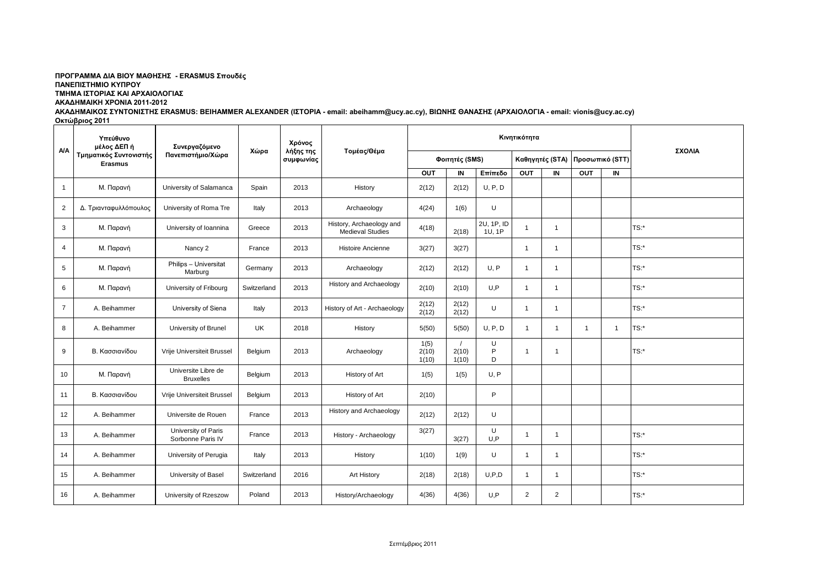## ΠΡΟΓΡΑΜΜΑ ΔΙΑ ΒΙΟΥ ΜΑΘΗΣΗΣ - ERASMUS Σπουδές **ΠΑΝΔΠΙΣΗΜΙΟ ΚΤΠΡΟΤ**

**ΤΜΗΜΑ ΙΣΤΟΡΙΑΣ ΚΑΙ ΑΡΧΑΙΟΛΟΓΙΑΣ** 

**ΑΚΑΔΗΜΑΙΚΗ ΧΡΟΝΙΑ 2011-2012** 

ΑΚΑΔΗΜΑΙΚΟΣ ΣΥΝΤΟΝΙΣΤΗΣ ERASMUS: BEIHAMMER ALEXANDER (IΣΤΟΡΙΑ - email: abeihamm@ucy.ac.cy), ΒΙΩΝΗΣ ΘΑΝΑΣΗΣ (ΑΡΧΑΙΟΛΟΓΙΑ - email: vionis@ucy.ac.cy)

**Οκτώβριος 2011** 

|                | Υπεύθυνο<br>μέλος ΔΕΠ ή<br>Τμηματικός Συντονιστής<br><b>Erasmus</b> | Συνεργαζόμενο<br>Πανεπιστήμιο/Χώρα       | Χώρα        | Χρόνος<br>λήξης της<br>συμφωνίας | Τομέας/Θέμα                                         |                        |                | Κινητικότητα         |                |                 |                 |              |         |
|----------------|---------------------------------------------------------------------|------------------------------------------|-------------|----------------------------------|-----------------------------------------------------|------------------------|----------------|----------------------|----------------|-----------------|-----------------|--------------|---------|
| <b>A/A</b>     |                                                                     |                                          |             |                                  |                                                     | Φοιτητές (SMS)         |                |                      |                | Καθηγητές (STA) | Προσωπικό (STT) |              | ΣΧΟΛΙΑ  |
|                |                                                                     |                                          |             |                                  |                                                     | OUT                    | IN             | Επίπεδο              | <b>OUT</b>     | IN              | <b>OUT</b>      | IN           |         |
| $\mathbf{1}$   | Μ. Παρανή                                                           | University of Salamanca                  | Spain       | 2013                             | History                                             | 2(12)                  | 2(12)          | U, P, D              |                |                 |                 |              |         |
| $\overline{2}$ | Δ. Τριανταφυλλόπουλος                                               | University of Roma Tre                   | Italy       | 2013                             | Archaeology                                         | 4(24)                  | 1(6)           | U                    |                |                 |                 |              |         |
| 3              | Μ. Παρανή                                                           | University of Ioannina                   | Greece      | 2013                             | History, Archaeology and<br><b>Medieval Studies</b> | 4(18)                  | 2(18)          | 2U, 1P, ID<br>1U, 1P | $\mathbf{1}$   | $\mathbf{1}$    |                 |              | $TS:$ * |
| 4              | Μ. Παρανή                                                           | Nancy 2                                  | France      | 2013                             | <b>Histoire Ancienne</b>                            | 3(27)                  | 3(27)          |                      | $\mathbf{1}$   | $\mathbf{1}$    |                 |              | $TS:$ * |
| 5              | Μ. Παρανή                                                           | Philips - Universitat<br>Marburg         | Germany     | 2013                             | Archaeology                                         | 2(12)                  | 2(12)          | U, P                 | $\mathbf{1}$   | $\mathbf{1}$    |                 |              | $TS:$ * |
| 6              | Μ. Παρανή                                                           | University of Fribourg                   | Switzerland | 2013                             | History and Archaeology                             | 2(10)                  | 2(10)          | U,P                  | $\mathbf{1}$   | $\mathbf{1}$    |                 |              | TS:     |
| $\overline{7}$ | A. Beihammer                                                        | University of Siena                      | Italy       | 2013                             | History of Art - Archaeology                        | 2(12)<br>2(12)         | 2(12)<br>2(12) | U                    | $\mathbf{1}$   | $\mathbf{1}$    |                 |              | $TS:$ * |
| 8              | A. Beihammer                                                        | University of Brunel                     | UK          | 2018                             | History                                             | 5(50)                  | 5(50)          | U, P, D              | $\mathbf{1}$   | $\mathbf{1}$    | $\mathbf{1}$    | $\mathbf{1}$ | $TS:$ * |
| 9              | Β. Κασσιανίδου                                                      | Vrije Universiteit Brussel               | Belgium     | 2013                             | Archaeology                                         | 1(5)<br>2(10)<br>1(10) | 2(10)<br>1(10) | U<br>P<br>D          | $\mathbf{1}$   | $\overline{1}$  |                 |              | TS:     |
| 10             | Μ. Παρανή                                                           | Universite Libre de<br><b>Bruxelles</b>  | Belgium     | 2013                             | History of Art                                      | 1(5)                   | 1(5)           | U.P                  |                |                 |                 |              |         |
| 11             | Β. Κασσιανίδου                                                      | Vrije Universiteit Brussel               | Belgium     | 2013                             | History of Art                                      | 2(10)                  |                | P                    |                |                 |                 |              |         |
| 12             | A. Beihammer                                                        | Universite de Rouen                      | France      | 2013                             | History and Archaeology                             | 2(12)                  | 2(12)          | U                    |                |                 |                 |              |         |
| 13             | A. Beihammer                                                        | University of Paris<br>Sorbonne Paris IV | France      | 2013                             | History - Archaeology                               | 3(27)                  | 3(27)          | U<br>U.P             | $\mathbf 1$    | $\mathbf{1}$    |                 |              | TS:*    |
| 14             | A. Beihammer                                                        | University of Perugia                    | Italy       | 2013                             | History                                             | 1(10)                  | 1(9)           | U                    | $\overline{1}$ | $\mathbf{1}$    |                 |              | TS:     |
| 15             | A. Beihammer                                                        | University of Basel                      | Switzerland | 2016                             | Art History                                         | 2(18)                  | 2(18)          | U.P.D                | $\mathbf 1$    | -1              |                 |              | TS:     |
| 16             | A. Beihammer                                                        | University of Rzeszow                    | Poland      | 2013                             | History/Archaeology                                 | 4(36)                  | 4(36)          | U,P                  | $\overline{2}$ | $\overline{2}$  |                 |              | TS:     |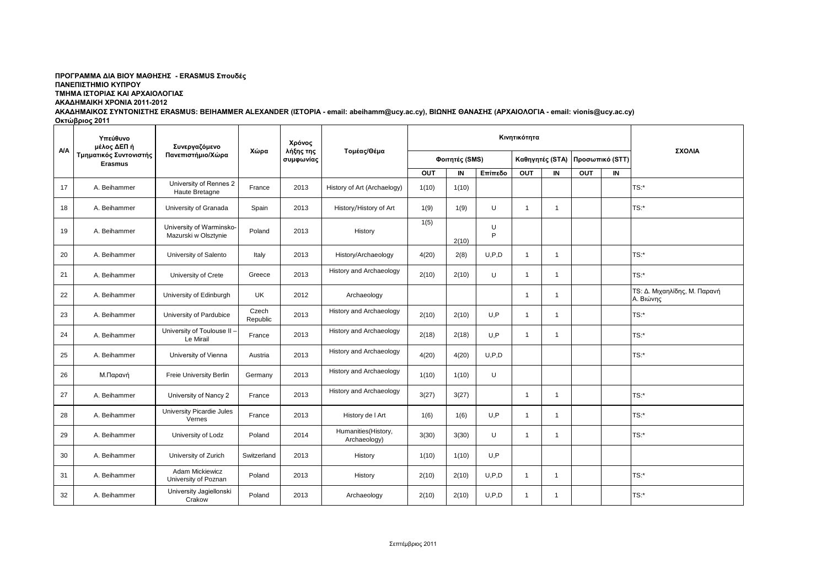## ΠΡΟΓΡΑΜΜΑ ΔΙΑ ΒΙΟΥ ΜΑΘΗΣΗΣ - ERASMUS Σπουδές **ΠΑΝΔΠΙΣΗΜΙΟ ΚΤΠΡΟΤ**

**ΤΜΗΜΑ ΙΣΤΟΡΙΑΣ ΚΑΙ ΑΡΧΑΙΟΛΟΓΙΑΣ** 

**ΑΚΑΔΗΜΑΙΚΗ ΧΡΟΝΙΑ 2011-2012** 

ΑΚΑΔΗΜΑΙΚΟΣ ΣΥΝΤΟΝΙΣΤΗΣ ERASMUS: BEIHAMMER ALEXANDER (IΣΤΟΡΙΑ - email: abeihamm@ucy.ac.cy), ΒΙΩΝΗΣ ΘΑΝΑΣΗΣ (ΑΡΧΑΙΟΛΟΓΙΑ - email: vionis@ucy.ac.cy) **Οκτώβριος 2011** 

|    | Υπεύθυνο<br>μέλος ΔΕΠ ή<br>Τμηματικός Συντονιστής<br><b>Erasmus</b> | Συνεργαζόμενο<br>Πανεπιστήμιο/Χώρα               |                   | Χρόνος<br>λήξης της<br>συμφωνίας | Τομέας/Θέμα                         |                |       | Κινητικότητα | ΣΧΟΛΙΑ                   |                 |     |                 |                                           |
|----|---------------------------------------------------------------------|--------------------------------------------------|-------------------|----------------------------------|-------------------------------------|----------------|-------|--------------|--------------------------|-----------------|-----|-----------------|-------------------------------------------|
| NΛ |                                                                     |                                                  | Χώρα              |                                  |                                     | Φοιτητές (SMS) |       |              |                          | Καθηγητές (STA) |     | Προσωπικό (STT) |                                           |
|    |                                                                     |                                                  |                   |                                  |                                     | OUT            | IN    | Επίπεδο      | OUT                      | IN              | OUT | $\blacksquare$  |                                           |
| 17 | A. Beihammer                                                        | University of Rennes 2<br>Haute Bretagne         | France            | 2013                             | History of Art (Archaelogy)         | 1(10)          | 1(10) |              |                          |                 |     |                 | TS:                                       |
| 18 | A. Beihammer                                                        | University of Granada                            | Spain             | 2013                             | History/History of Art              | 1(9)           | 1(9)  | U            |                          | -1              |     |                 | TS:                                       |
| 19 | A. Beihammer                                                        | University of Warminsko-<br>Mazurski w Olsztynie | Poland            | 2013                             | History                             | 1(5)           | 2(10) | U<br>P       |                          |                 |     |                 |                                           |
| 20 | A. Beihammer                                                        | University of Salento                            | Italy             | 2013                             | History/Archaeology                 | 4(20)          | 2(8)  | U.P.D        | $\overline{1}$           | $\mathbf{1}$    |     |                 | $TS:$ *                                   |
| 21 | A. Beihammer                                                        | University of Crete                              | Greece            | 2013                             | History and Archaeology             | 2(10)          | 2(10) | U            | $\overline{1}$           | $\mathbf{1}$    |     |                 | $TS:$ *                                   |
| 22 | A. Beihammer                                                        | University of Edinburgh                          | UK                | 2012                             | Archaeology                         |                |       |              | $\mathbf{1}$             | $\mathbf{1}$    |     |                 | TS: Δ. Μιχαηλίδης, Μ. Παρανή<br>Α. Βιώνης |
| 23 | A. Beihammer                                                        | University of Pardubice                          | Czech<br>Republic | 2013                             | History and Archaeology             | 2(10)          | 2(10) | U, P         | $\overline{1}$           | $\mathbf{1}$    |     |                 | $TS:$ *                                   |
| 24 | A. Beihammer                                                        | University of Toulouse II -<br>Le Mirail         | France            | 2013                             | History and Archaeology             | 2(18)          | 2(18) | U, P         | $\overline{1}$           | $\mathbf{1}$    |     |                 | $TS:$ *                                   |
| 25 | A. Beihammer                                                        | University of Vienna                             | Austria           | 2013                             | History and Archaeology             | 4(20)          | 4(20) | U.P.D        |                          |                 |     |                 | $TS:$ *                                   |
| 26 | Μ.Παρανή                                                            | <b>Freie University Berlin</b>                   | Germany           | 2013                             | History and Archaeology             | 1(10)          | 1(10) | U            |                          |                 |     |                 |                                           |
| 27 | A. Beihammer                                                        | University of Nancy 2                            | France            | 2013                             | History and Archaeology             | 3(27)          | 3(27) |              | $\overline{1}$           | $\mathbf{1}$    |     |                 | $TS:$ *                                   |
| 28 | A. Beihammer                                                        | University Picardie Jules<br>Vernes              | France            | 2013                             | History de I Art                    | 1(6)           | 1(6)  | U, P         | -1                       | $\overline{1}$  |     |                 | $TS:$ *                                   |
| 29 | A. Beihammer                                                        | University of Lodz                               | Poland            | 2014                             | Humanities(History,<br>Archaeology) | 3(30)          | 3(30) | $\cup$       | -1                       | -1              |     |                 | $TS:$ *                                   |
| 30 | A. Beihammer                                                        | University of Zurich                             | Switzerland       | 2013                             | History                             | 1(10)          | 1(10) | U, P         |                          |                 |     |                 |                                           |
| 31 | A. Beihammer                                                        | Adam Mickiewicz<br>University of Poznan          | Poland            | 2013                             | History                             | 2(10)          | 2(10) | U, P, D      | -1                       | $\mathbf{1}$    |     |                 | $TS:$ *                                   |
| 32 | A. Beihammer                                                        | University Jagiellonski<br>Crakow                | Poland            | 2013                             | Archaeology                         | 2(10)          | 2(10) | U, P, D      | $\overline{\phantom{a}}$ | $\mathbf{1}$    |     |                 | TS:                                       |